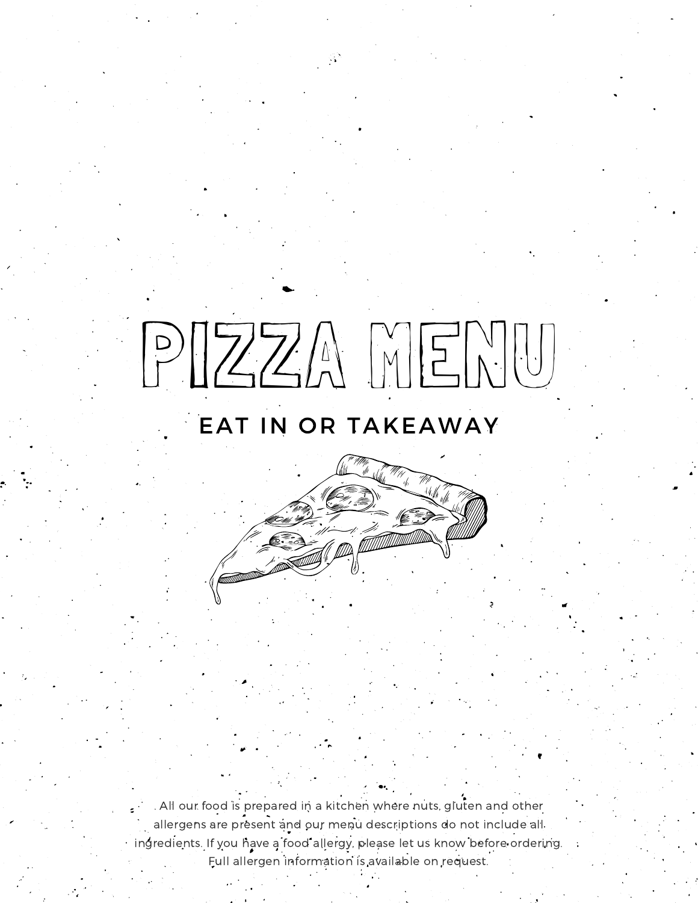# PIZZA MENU

# EAT IN OR TAKEAWAY

. All our food is prepared in a kitchen where nuts, gluten and other allergens are present and our menu descriptions do not include all ingredients. If you have a food allergy, please let us know before ordering. Full allergen information is available on request.